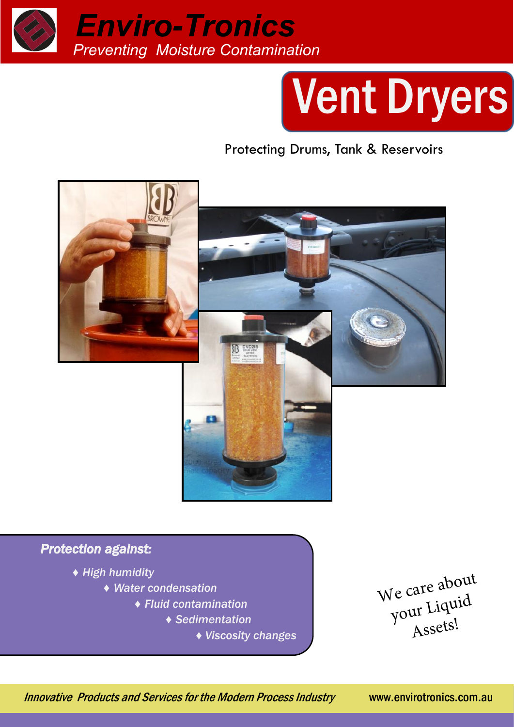

# Vent Dryers

Protecting Drums, Tank & Reservoirs



#### *Protection against:*

- *♦ High humidity*
	- *♦ Water condensation*
		- *♦ Fluid contamination*
			- *♦ Sedimentation*
				- *♦ Viscosity changes*

We care about your Liquid Assets!

Innovative Products and Services for the Modern Process Industry www.envirotronics.com.au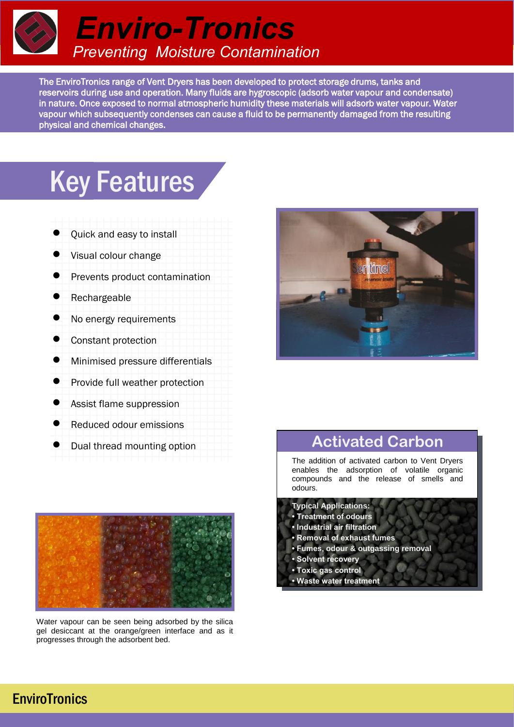

The EnviroTronics range of Vent Dryers has been developed to protect storage drums, tanks and reservoirs during use and operation. Many fluids are hygroscopic (adsorb water vapour and condensate) in nature. Once exposed to normal atmospheric humidity these materials will adsorb water vapour. Water vapour which subsequently condenses can cause a fluid to be permanently damaged from the resulting physical and chemical changes.

### **Key Features**

- Quick and easy to install
- Visual colour change
- Prevents product contamination
- Rechargeable
- No energy requirements
- Constant protection
- Minimised pressure differentials
- Provide full weather protection
- Assist flame suppression
- Reduced odour emissions
- Dual thread mounting option



Water vapour can be seen being adsorbed by the silica gel desiccant at the orange/green interface and as it progresses through the adsorbent bed.



#### **Activated Carbon**

The addition of activated carbon to Vent Dryers enables the adsorption of volatile organic compounds and the release of smells and odours.

- **Typical Applications:**
- **Treatment of odours**
- **Industrial air filtration**
- **Removal of exhaust fumes**
- **Fumes, odour & outgassing removal**
- **Solvent recovery**
- **Toxic gas control**
- **Waste water treatment**

#### **EnviroTronics**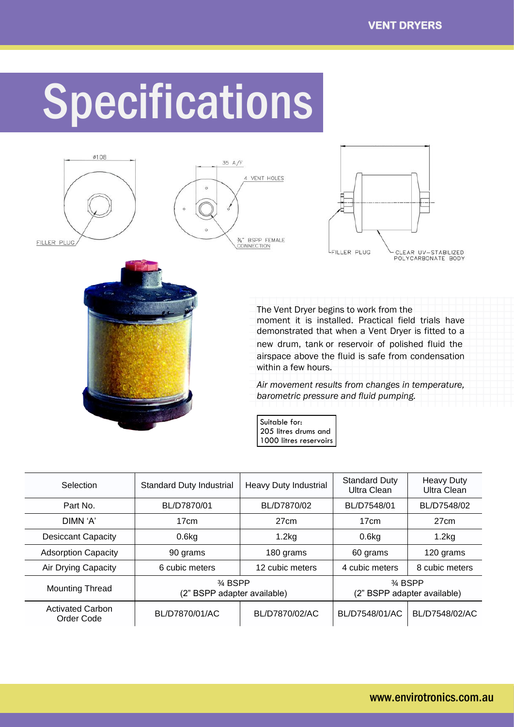## Specifications









The Vent Dryer begins to work from the moment it is installed. Practical field trials have demonstrated that when a Vent Dryer is fitted to a new drum, tank or reservoir of polished fluid the airspace above the fluid is safe from condensation within a few hours.

*Air movement results from changes in temperature, barometric pressure and fluid pumping.* 

Suitable for: 205 litres drums and 1000 litres reservoirs

| Selection                             | Standard Duty Industrial                          | <b>Heavy Duty Industrial</b> | <b>Standard Duty</b><br>Ultra Clean               | <b>Heavy Duty</b><br>Ultra Clean |
|---------------------------------------|---------------------------------------------------|------------------------------|---------------------------------------------------|----------------------------------|
| Part No.                              | BL/D7870/01                                       | BL/D7870/02                  | BL/D7548/01                                       | BL/D7548/02                      |
| DIMN 'A'                              | 17cm                                              | 27 <sub>cm</sub>             | 17cm                                              | 27cm                             |
| <b>Desiccant Capacity</b>             | 0.6kg                                             | 1.2kg                        | $0.6$ kg                                          | 1.2kg                            |
| <b>Adsorption Capacity</b>            | 90 grams                                          | 180 grams                    | 60 grams                                          | 120 grams                        |
| Air Drying Capacity                   | 6 cubic meters                                    | 12 cubic meters              | 4 cubic meters                                    | 8 cubic meters                   |
| <b>Mounting Thread</b>                | $\frac{3}{4}$ BSPP<br>(2" BSPP adapter available) |                              | $\frac{3}{4}$ BSPP<br>(2" BSPP adapter available) |                                  |
| <b>Activated Carbon</b><br>Order Code | BL/D7870/01/AC                                    | BL/D7870/02/AC               | BL/D7548/01/AC                                    | BL/D7548/02/AC                   |